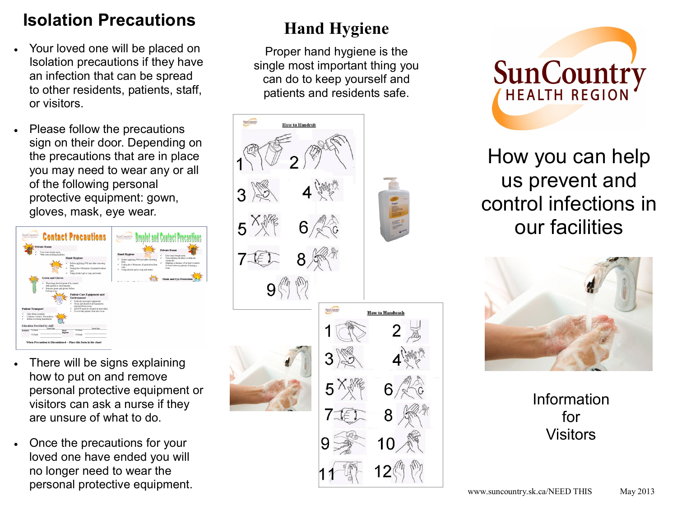# **Isolation Precautions**

- Your loved one will be placed on Isolation precautions if they have an infection that can be spread to other residents, patients, staff, or visitors.
- Please follow the precautions sign on their door. Depending on the precautions that are in place you may need to wear any or all of the following personal protective equipment: gown, gloves, mask, eye wear.



- There will be signs explaining how to put on and remove personal protective equipment or visitors can ask a nurse if they are unsure of what to do.
- Once the precautions for your loved one have ended you will no longer need to wear the personal protective equipment.

# **Hand Hygiene**

Proper hand hygiene is the single most important thing you can do to keep yourself and patients and residents safe.





How you can help us prevent and control infections in our facilities



Information for **Visitors**